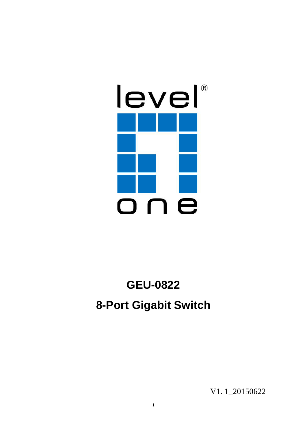

# **GEU-0822 8-Port Gigabit Switch**

V1. 1\_20150622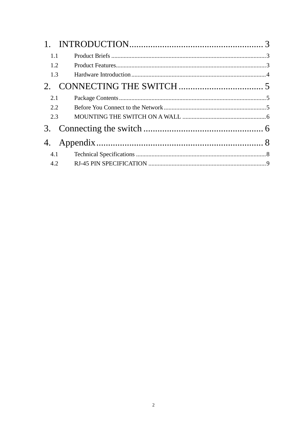| $1_{\cdot}$ |  |
|-------------|--|
| 1.1         |  |
| 1.2         |  |
| 1.3         |  |
|             |  |
| 2.1         |  |
| 2.2         |  |
| 2.3         |  |
|             |  |
| 4.          |  |
| 4.1         |  |
| 4.2         |  |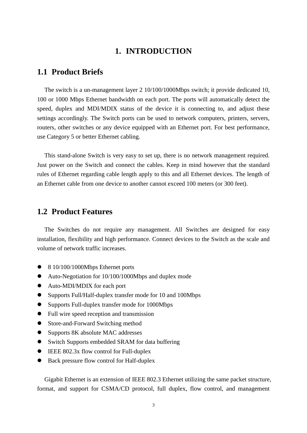### **1. INTRODUCTION**

#### **1.1 Product Briefs**

The switch is a un-management layer 2 10/100/1000Mbps switch; it provide dedicated 10, 100 or 1000 Mbps Ethernet bandwidth on each port. The ports will automatically detect the speed, duplex and MDI/MDIX status of the device it is connecting to, and adjust these settings accordingly. The Switch ports can be used to network computers, printers, servers, routers, other switches or any device equipped with an Ethernet port. For best performance, use Category 5 or better Ethernet cabling.

This stand-alone Switch is very easy to set up, there is no network management required. Just power on the Switch and connect the cables. Keep in mind however that the standard rules of Ethernet regarding cable length apply to this and all Ethernet devices. The length of an Ethernet cable from one device to another cannot exceed 100 meters (or 300 feet).

#### **1.2 Product Features**

The Switches do not require any management. All Switches are designed for easy installation, flexibility and high performance. Connect devices to the Switch as the scale and volume of network traffic increases.

- 8 10/100/1000Mbps Ethernet ports
- Auto-Negotiation for 10/100/1000Mbps and duplex mode
- Auto-MDI/MDIX for each port
- Supports Full/Half-duplex transfer mode for 10 and 100Mbps
- Supports Full-duplex transfer mode for 1000Mbps
- Full wire speed reception and transmission
- Store-and-Forward Switching method
- Supports 8K absolute MAC addresses
- Switch Supports embedded SRAM for data buffering
- IEEE 802.3x flow control for Full-duplex
- Back pressure flow control for Half-duplex

Gigabit Ethernet is an extension of IEEE 802.3 Ethernet utilizing the same packet structure, format, and support for CSMA/CD protocol, full duplex, flow control, and management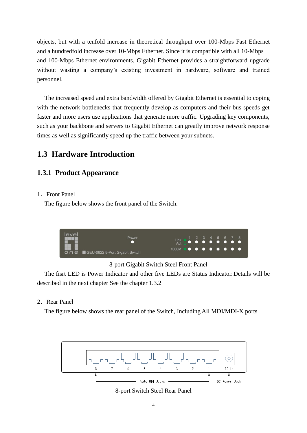objects, but with a tenfold increase in theoretical throughput over 100-Mbps Fast Ethernet and a hundredfold increase over 10-Mbps Ethernet. Since it is compatible with all 10-Mbps and 100-Mbps Ethernet environments, Gigabit Ethernet provides a straightforward upgrade without wasting a company's existing investment in hardware, software and trained personnel.

The increased speed and extra bandwidth offered by Gigabit Ethernet is essential to coping with the network bottlenecks that frequently develop as computers and their bus speeds get faster and more users use applications that generate more traffic. Upgrading key components, such as your backbone and servers to Gigabit Ethernet can greatly improve network response times as well as significantly speed up the traffic between your subnets.

# **1.3 Hardware Introduction**

#### **1.3.1 Product Appearance**

#### 1. Front Panel

The figure below shows the front panel of the Switch.



8-port Gigabit Switch Steel Front Panel

The fisrt LED is Power Indicator and other five LEDs are Status Indicator.Details will be described in the next chapter See the chapter 1.3.2

#### 2.Rear Panel

The figure below shows the rear panel of the Switch, Including All MDI/MDI-X ports



8-port Switch Steel Rear Panel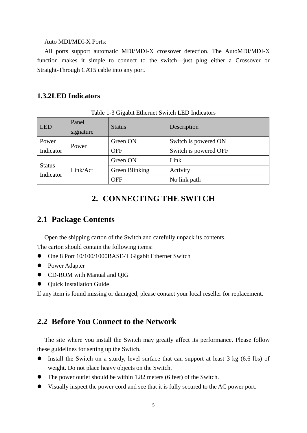#### Auto MDI/MDI-X Ports:

All ports support automatic MDI/MDI-X crossover detection. The AutoMDI/MDI-X function makes it simple to connect to the switch—just plug either a Crossover or Straight-Through CAT5 cable into any port.

#### **1.3.2LED Indicators**

| LED                        | Panel<br>signature | <b>Status</b>  | Description           |
|----------------------------|--------------------|----------------|-----------------------|
| Power                      |                    | Green ON       | Switch is powered ON  |
| Indicator                  | Power              | <b>OFF</b>     | Switch is powered OFF |
|                            | Link/Act           | Green ON       | Link                  |
| <b>Status</b><br>Indicator |                    | Green Blinking | Activity              |
|                            |                    | <b>OFF</b>     | No link path          |

Table 1-3 Gigabit Ethernet Switch LED Indicators

## **2. CONNECTING THE SWITCH**

# **2.1 Package Contents**

Open the shipping carton of the Switch and carefully unpack its contents.

The carton should contain the following items:

- One 8 Port 10/100/1000BASE-T Gigabit Ethernet Switch
- Power Adapter
- CD-ROM with Manual and QIG
- Quick Installation Guide

If any item is found missing or damaged, please contact your local reseller for replacement.

#### **2.2 Before You Connect to the Network**

The site where you install the Switch may greatly affect its performance. Please follow these guidelines for setting up the Switch.

- Install the Switch on a sturdy, level surface that can support at least 3 kg (6.6 lbs) of weight. Do not place heavy objects on the Switch.
- The power outlet should be within 1.82 meters (6 feet) of the Switch.
- Visually inspect the power cord and see that it is fully secured to the AC power port.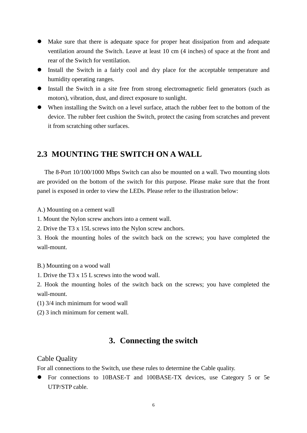- Make sure that there is adequate space for proper heat dissipation from and adequate ventilation around the Switch. Leave at least 10 cm (4 inches) of space at the front and rear of the Switch for ventilation.
- Install the Switch in a fairly cool and dry place for the acceptable temperature and humidity operating ranges.
- Install the Switch in a site free from strong electromagnetic field generators (such as motors), vibration, dust, and direct exposure to sunlight.
- When installing the Switch on a level surface, attach the rubber feet to the bottom of the device. The rubber feet cushion the Switch, protect the casing from scratches and prevent it from scratching other surfaces.

# **2.3 MOUNTING THE SWITCH ON A WALL**

The 8-Port 10/100/1000 Mbps Switch can also be mounted on a wall. Two mounting slots are provided on the bottom of the switch for this purpose. Please make sure that the front panel is exposed in order to view the LEDs. Please refer to the illustration below:

A.) Mounting on a cement wall

1. Mount the Nylon screw anchors into a cement wall.

2. Drive the T3 x 15L screws into the Nylon screw anchors.

3. Hook the mounting holes of the switch back on the screws; you have completed the wall-mount.

B.) Mounting on a wood wall

1. Drive the T3 x 15 L screws into the wood wall.

2. Hook the mounting holes of the switch back on the screws; you have completed the wall-mount.

(1) 3/4 inch minimum for wood wall

(2) 3 inch minimum for cement wall.

# **3. Connecting the switch**

#### Cable Quality

For all connections to the Switch, use these rules to determine the Cable quality.

 For connections to 10BASE-T and 100BASE-TX devices, use Category 5 or 5e UTP/STP cable.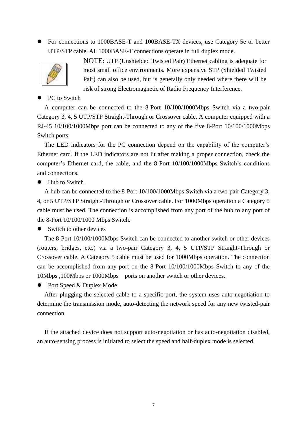For connections to 1000BASE-T and 100BASE-TX devices, use Category 5e or better UTP/STP cable. All 1000BASE-T connections operate in full duplex mode.



NOTE: UTP (Unshielded Twisted Pair) Ethernet cabling is adequate for most small office environments. More expensive STP (Shielded Twisted Pair) can also be used, but is generally only needed where there will be risk of strong Electromagnetic of Radio Frequency Interference.

#### PC to Switch

A computer can be connected to the 8-Port 10/100/1000Mbps Switch via a two-pair Category 3, 4, 5 UTP/STP Straight-Through or Crossover cable. A computer equipped with a RJ-45 10/100/1000Mbps port can be connected to any of the five 8-Port 10/100/1000Mbps Switch ports.

The LED indicators for the PC connection depend on the capability of the computer's Ethernet card. If the LED indicators are not lit after making a proper connection, check the computer's Ethernet card, the cable, and the 8-Port 10/100/1000Mbps Switch's conditions and connections.

• Hub to Switch

A hub can be connected to the 8-Port 10/100/1000Mbps Switch via a two-pair Category 3, 4, or 5 UTP/STP Straight-Through or Crossover cable. For 1000Mbps operation a Category 5 cable must be used. The connection is accomplished from any port of the hub to any port of the 8-Port 10/100/1000 Mbps Switch.

• Switch to other devices

The 8-Port 10/100/1000Mbps Switch can be connected to another switch or other devices (routers, bridges, etc.) via a two-pair Category 3, 4, 5 UTP/STP Straight-Through or Crossover cable. A Category 5 cable must be used for 1000Mbps operation. The connection can be accomplished from any port on the 8-Port 10/100/1000Mbps Switch to any of the 10Mbps ,100Mbps or 1000Mbps ports on another switch or other devices.

• Port Speed & Duplex Mode

After plugging the selected cable to a specific port, the system uses auto-negotiation to determine the transmission mode, auto-detecting the network speed for any new twisted-pair connection.

If the attached device does not support auto-negotiation or has auto-negotiation disabled, an auto-sensing process is initiated to select the speed and half-duplex mode is selected.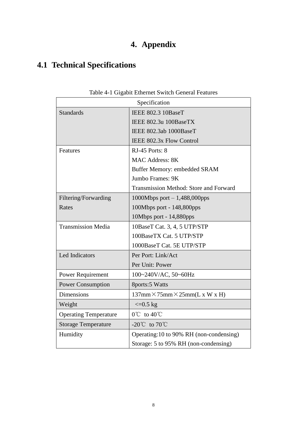# **4. Appendix**

# **4.1 Technical Specifications**

| Specification                |                                                 |  |  |  |
|------------------------------|-------------------------------------------------|--|--|--|
| <b>Standards</b>             | IEEE 802.3 10BaseT                              |  |  |  |
|                              | IEEE 802.3u 100BaseTX                           |  |  |  |
|                              | IEEE 802.3ab 1000BaseT                          |  |  |  |
|                              | IEEE 802.3x Flow Control                        |  |  |  |
| Features                     | RJ-45 Ports: 8                                  |  |  |  |
|                              | <b>MAC Address: 8K</b>                          |  |  |  |
|                              | Buffer Memory: embedded SRAM                    |  |  |  |
|                              | Jumbo Frames: 9K                                |  |  |  |
|                              | Transmission Method: Store and Forward          |  |  |  |
| Filtering/Forwarding         | 1000Mbps port $-1,488,000$ pps                  |  |  |  |
| Rates                        | 100Mbps port - 148,800pps                       |  |  |  |
|                              | 10Mbps port - 14,880pps                         |  |  |  |
| <b>Transmission Media</b>    | 10BaseT Cat. 3, 4, 5 UTP/STP                    |  |  |  |
|                              | 100BaseTX Cat. 5 UTP/STP                        |  |  |  |
|                              | 1000BaseT Cat. 5E UTP/STP                       |  |  |  |
| Led Indicators               | Per Port: Link/Act                              |  |  |  |
|                              | Per Unit: Power                                 |  |  |  |
| <b>Power Requirement</b>     | 100~240V/AC, 50~60Hz                            |  |  |  |
| <b>Power Consumption</b>     | 8ports:5 Watts                                  |  |  |  |
| <b>Dimensions</b>            | $137$ mm $\times$ 75mm $\times$ 25mm(L x W x H) |  |  |  |
| Weight                       | $\epsilon = 0.5$ kg                             |  |  |  |
| <b>Operating Temperature</b> | $0^{\circ}$ to $40^{\circ}$                     |  |  |  |
| <b>Storage Temperature</b>   | -20 $\degree$ C to 70 $\degree$ C               |  |  |  |
| Humidity                     | Operating:10 to 90% RH (non-condensing)         |  |  |  |
|                              | Storage: 5 to 95% RH (non-condensing)           |  |  |  |

Table 4-1 Gigabit Ethernet Switch General Features